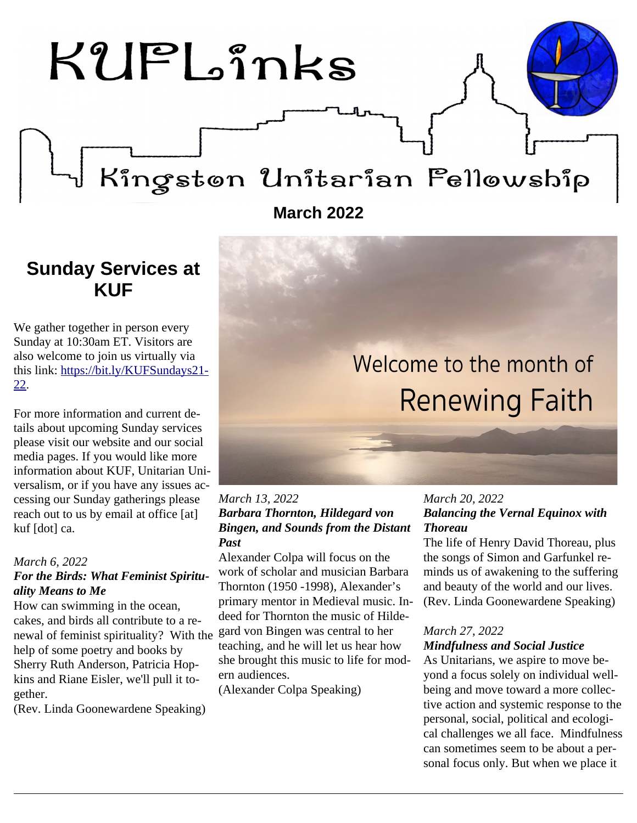

### <span id="page-0-0"></span>**Sunday Services at KUF**

We gather together in person every Sunday at 10:30am ET. Visitors are also welcome to join us virtually via this link: [https://bit.ly/KUFSundays21-](https://bit.ly/KUFSundays21-22) [22.](https://bit.ly/KUFSundays21-22)

For more information and current details about upcoming Sunday services please visit our website and our social media pages. If you would like more information about KUF, Unitarian Universalism, or if you have any issues accessing our Sunday gatherings please reach out to us by email at office [at] kuf [dot] ca.

#### *March 6, 2022 For the Birds: What Feminist Spirituality Means to Me*

How can swimming in the ocean, cakes, and birds all contribute to a renewal of feminist spirituality? With the help of some poetry and books by Sherry Ruth Anderson, Patricia Hopkins and Riane Eisler, we'll pull it together.

(Rev. Linda Goonewardene Speaking)

# Welcome to the month of **Renewing Faith**

#### *March 13, 2022 Barbara Thornton, Hildegard von Bingen, and Sounds from the Distant Past*

Alexander Colpa will focus on the work of scholar and musician Barbara Thornton (1950 -1998), Alexander's primary mentor in Medieval music. Indeed for Thornton the music of Hildegard von Bingen was central to her teaching, and he will let us hear how she brought this music to life for modern audiences.

(Alexander Colpa Speaking)

#### *March 20, 2022 Balancing the Vernal Equinox with Thoreau*

The life of Henry David Thoreau, plus the songs of Simon and Garfunkel reminds us of awakening to the suffering and beauty of the world and our lives. (Rev. Linda Goonewardene Speaking)

### *March 27, 2022*

#### *Mindfulness and Social Justice*

As Unitarians, we aspire to move beyond a focus solely on individual wellbeing and move toward a more collective action and systemic response to the personal, social, political and ecological challenges we all face. Mindfulness can sometimes seem to be about a personal focus only. But when we place it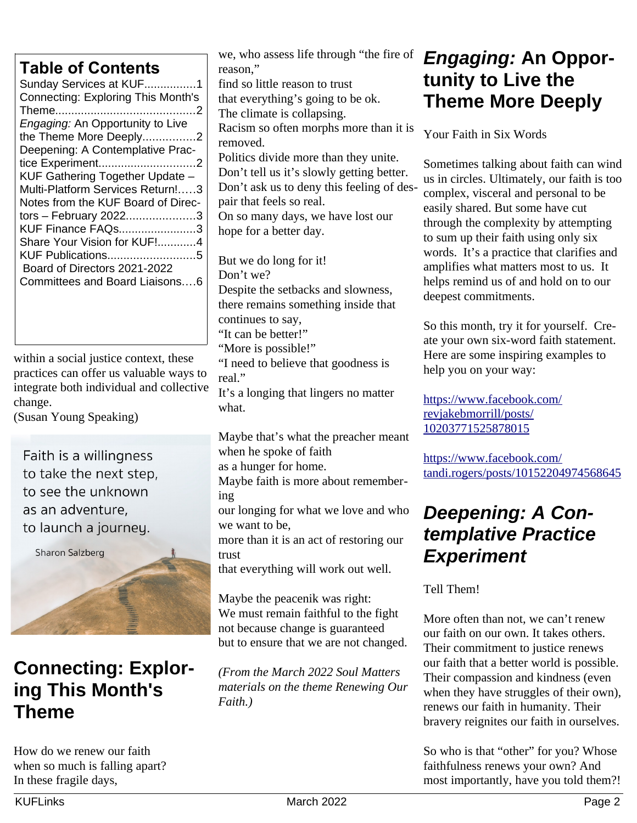### **Table of Contents**

| Sunday Services at KUF1                 |
|-----------------------------------------|
| Connecting: Exploring This Month's      |
|                                         |
| <i>Engaging: An Opportunity to Live</i> |
| the Theme More Deeply2                  |
| Deepening: A Contemplative Prac-        |
|                                         |
| KUF Gathering Together Update -         |
| Multi-Platform Services Return!3        |
| Notes from the KUF Board of Direc-      |
| tors - February 20223                   |
| KUF Finance FAQs3                       |
| Share Your Vision for KUF!4             |
| KUF Publications5                       |
| Board of Directors 2021-2022            |
| Committees and Board Liaisons6          |
|                                         |
|                                         |
|                                         |

within a social justice context, these practices can offer us valuable ways to integrate both individual and collective change.

(Susan Young Speaking)

Faith is a willingness to take the next step. to see the unknown as an adventure. to launch a journey.

**Sharon Salzberg** 

# <span id="page-1-2"></span>**Connecting: Exploring This Month's Theme**

How do we renew our faith when so much is falling apart? In these fragile days,

we, who assess life through "the fire of reason," find so little reason to trust that everything's going to be ok. The climate is collapsing. Racism so often morphs more than it is removed. Politics divide more than they unite. Don't tell us it's slowly getting better. Don't ask us to deny this feeling of despair that feels so real. On so many days, we have lost our hope for a better day.

But we do long for it! Don't we? Despite the setbacks and slowness, there remains something inside that continues to say, "It can be better!" "More is possible!" "I need to believe that goodness is real." It's a longing that lingers no matter what.

Maybe that's what the preacher meant when he spoke of faith

as a hunger for home.

Maybe faith is more about remembering

our longing for what we love and who we want to be,

more than it is an act of restoring our trust

that everything will work out well.

Maybe the peacenik was right: We must remain faithful to the fight not because change is guaranteed but to ensure that we are not changed.

*(From the March 2022 Soul Matters materials on the theme Renewing Our Faith.)*

### <span id="page-1-1"></span>*Engaging:* **An Opportunity to Live the Theme More Deeply**

Your Faith in Six Words

Sometimes talking about faith can wind us in circles. Ultimately, our faith is too complex, visceral and personal to be easily shared. But some have cut through the complexity by attempting to sum up their faith using only six words. It's a practice that clarifies and amplifies what matters most to us. It helps remind us of and hold on to our deepest commitments.

So this month, try it for yourself. Create your own six-word faith statement. Here are some inspiring examples to help you on your way:

[https://www.facebook.com/](https://www.facebook.com/revjakebmorrill/posts/10203771525878015) [revjakebmorrill/posts/](https://www.facebook.com/revjakebmorrill/posts/10203771525878015) [10203771525878015](https://www.facebook.com/revjakebmorrill/posts/10203771525878015)

[https://www.facebook.com/](https://www.facebook.com/tandi.rogers/posts/10152204974568645) [tandi.rogers/posts/10152204974568645](https://www.facebook.com/tandi.rogers/posts/10152204974568645)

### <span id="page-1-0"></span>*Deepening: A Contemplative Practice Experiment*

Tell Them!

More often than not, we can't renew our faith on our own. It takes others. Their commitment to justice renews our faith that a better world is possible. Their compassion and kindness (even when they have struggles of their own), renews our faith in humanity. Their bravery reignites our faith in ourselves.

So who is that "other" for you? Whose faithfulness renews your own? And most importantly, have you told them?!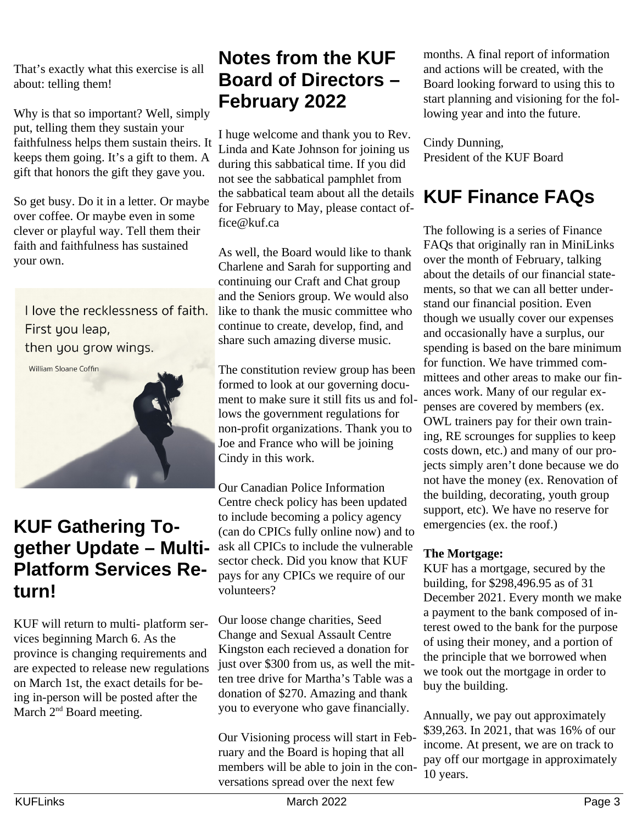That's exactly what this exercise is all about: telling them!

Why is that so important? Well, simply put, telling them they sustain your faithfulness helps them sustain theirs. It keeps them going. It's a gift to them. A gift that honors the gift they gave you.

So get busy. Do it in a letter. Or maybe over coffee. Or maybe even in some clever or playful way. Tell them their faith and faithfulness has sustained your own.

I love the recklessness of faith. First you leap, then you grow wings.

William Sloane Coffin



### <span id="page-2-2"></span>**KUF Gathering Together Update – Multi-Platform Services Return!**

KUF will return to multi- platform services beginning March 6. As the province is changing requirements and are expected to release new regulations on March 1st, the exact details for being in-person will be posted after the March 2<sup>nd</sup> Board meeting.

# <span id="page-2-1"></span>**Notes from the KUF Board of Directors – February 2022**

I huge welcome and thank you to Rev. Linda and Kate Johnson for joining us during this sabbatical time. If you did not see the sabbatical pamphlet from the sabbatical team about all the details for February to May, please contact office@kuf.ca

As well, the Board would like to thank Charlene and Sarah for supporting and continuing our Craft and Chat group and the Seniors group. We would also like to thank the music committee who continue to create, develop, find, and share such amazing diverse music.

The constitution review group has been formed to look at our governing document to make sure it still fits us and follows the government regulations for non-profit organizations. Thank you to Joe and France who will be joining Cindy in this work.

Our Canadian Police Information Centre check policy has been updated to include becoming a policy agency (can do CPICs fully online now) and to ask all CPICs to include the vulnerable sector check. Did you know that KUF pays for any CPICs we require of our volunteers?

Our loose change charities, Seed Change and Sexual Assault Centre Kingston each recieved a donation for just over \$300 from us, as well the mitten tree drive for Martha's Table was a donation of \$270. Amazing and thank you to everyone who gave financially.

Our Visioning process will start in February and the Board is hoping that all members will be able to join in the conversations spread over the next few

months. A final report of information and actions will be created, with the Board looking forward to using this to start planning and visioning for the following year and into the future.

Cindy Dunning, President of the KUF Board

# <span id="page-2-0"></span>**KUF Finance FAQs**

The following is a series of Finance FAQs that originally ran in MiniLinks over the month of February, talking about the details of our financial statements, so that we can all better understand our financial position. Even though we usually cover our expenses and occasionally have a surplus, our spending is based on the bare minimum for function. We have trimmed committees and other areas to make our finances work. Many of our regular expenses are covered by members (ex. OWL trainers pay for their own training, RE scrounges for supplies to keep costs down, etc.) and many of our projects simply aren't done because we do not have the money (ex. Renovation of the building, decorating, youth group support, etc). We have no reserve for emergencies (ex. the roof.)

### **The Mortgage:**

KUF has a mortgage, secured by the building, for \$298,496.95 as of 31 December 2021. Every month we make a payment to the bank composed of interest owed to the bank for the purpose of using their money, and a portion of the principle that we borrowed when we took out the mortgage in order to buy the building.

Annually, we pay out approximately \$39,263. In 2021, that was 16% of our income. At present, we are on track to pay off our mortgage in approximately 10 years.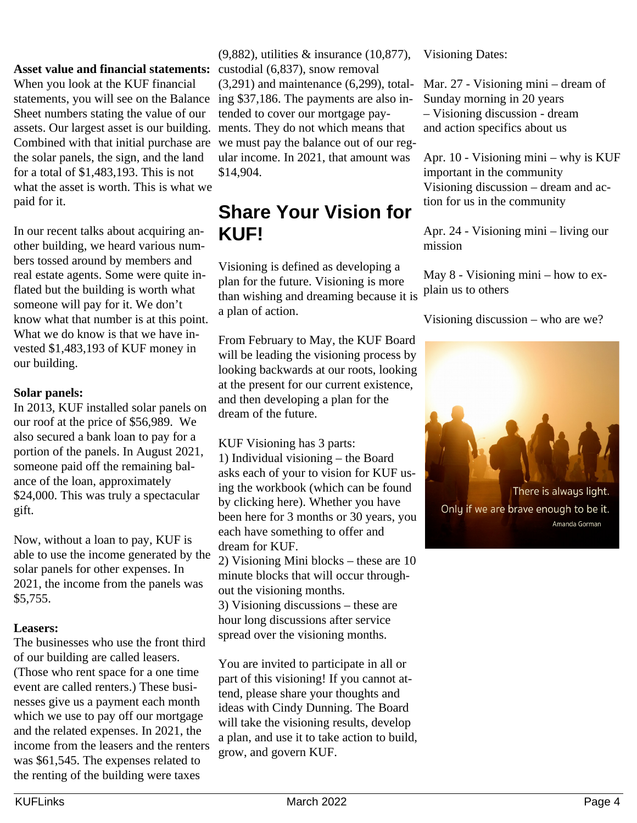#### Asset value and financial statements: custodial (6,837), snow removal

When you look at the KUF financial statements, you will see on the Balance Sheet numbers stating the value of our assets. Our largest asset is our building. Combined with that initial purchase are the solar panels, the sign, and the land for a total of \$1,483,193. This is not what the asset is worth. This is what we paid for it.

In our recent talks about acquiring another building, we heard various numbers tossed around by members and real estate agents. Some were quite inflated but the building is worth what someone will pay for it. We don't know what that number is at this point. What we do know is that we have invested \$1,483,193 of KUF money in our building.

#### **Solar panels:**

In 2013, KUF installed solar panels on our roof at the price of \$56,989. We also secured a bank loan to pay for a portion of the panels. In August 2021, someone paid off the remaining balance of the loan, approximately \$24,000. This was truly a spectacular gift.

Now, without a loan to pay, KUF is able to use the income generated by the solar panels for other expenses. In 2021, the income from the panels was \$5,755.

#### **Leasers:**

The businesses who use the front third of our building are called leasers. (Those who rent space for a one time event are called renters.) These businesses give us a payment each month which we use to pay off our mortgage and the related expenses. In 2021, the income from the leasers and the renters was \$61,545. The expenses related to the renting of the building were taxes

(9,882), utilities & insurance (10,877), (3,291) and maintenance (6,299), totaling \$37,186. The payments are also intended to cover our mortgage payments. They do not which means that we must pay the balance out of our regular income. In 2021, that amount was \$14,904.

# <span id="page-3-0"></span>**Share Your Vision for KUF!**

Visioning is defined as developing a plan for the future. Visioning is more than wishing and dreaming because it is a plan of action.

From February to May, the KUF Board will be leading the visioning process by looking backwards at our roots, looking at the present for our current existence, and then developing a plan for the dream of the future.

KUF Visioning has 3 parts: 1) Individual visioning – the Board asks each of your to vision for KUF using the workbook (which can be found by clicking here). Whether you have been here for 3 months or 30 years, you each have something to offer and dream for KUF.

2) Visioning Mini blocks – these are 10 minute blocks that will occur throughout the visioning months.

3) Visioning discussions – these are hour long discussions after service spread over the visioning months.

You are invited to participate in all or part of this visioning! If you cannot attend, please share your thoughts and ideas with Cindy Dunning. The Board will take the visioning results, develop a plan, and use it to take action to build, grow, and govern KUF.

Visioning Dates:

Mar. 27 - Visioning mini – dream of Sunday morning in 20 years – Visioning discussion - dream and action specifics about us

Apr. 10 - Visioning mini – why is KUF important in the community Visioning discussion – dream and action for us in the community

Apr. 24 - Visioning mini – living our mission

May 8 - Visioning mini – how to explain us to others

Visioning discussion – who are we?

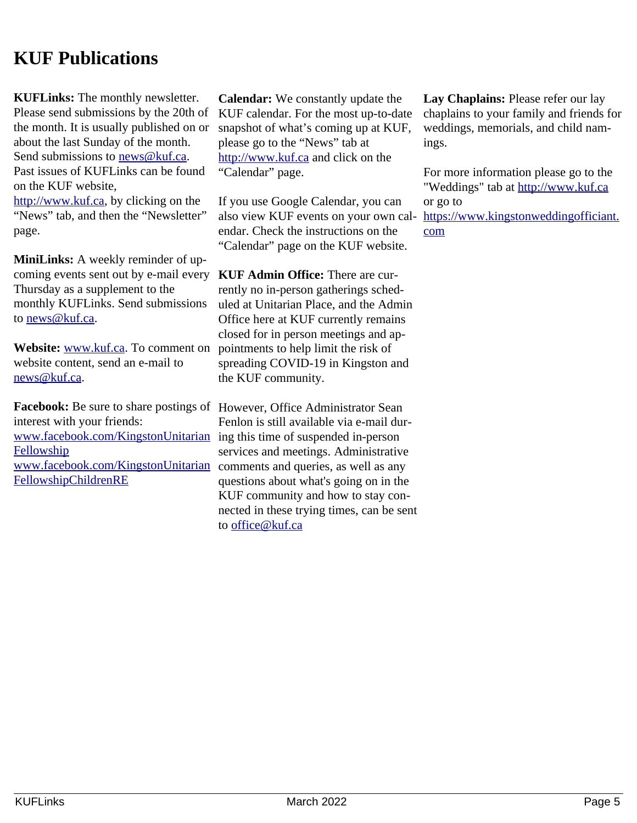### <span id="page-4-0"></span>**KUF Publications**

**KUFLinks:** The monthly newsletter. Please send submissions by the 20th of the month. It is usually published on or about the last Sunday of the month. Send submissions to [news@kuf.ca.](mailto:news@kuf.ca) Past issues of KUFLinks can be found on the KUF website, [http://www.kuf.ca,](http://www.kuf.ca/) by clicking on the "News" tab, and then the "Newsletter" page.

**MiniLinks:** A weekly reminder of upcoming events sent out by e-mail every Thursday as a supplement to the monthly KUFLinks. Send submissions to [news@kuf.ca.](mailto:news@kuf.ca)

**Website:** [www.kuf.ca.](http://www.kuf.ca/) To comment on website content, send an e-mail to news@kuf.ca.

**Facebook:** Be sure to share postings of However, Office Administrator Sean interest with your friends: [www.facebook.com/KingstonUnitarian](http://www.facebook.com/KingstonUnitarianFellowship) ing this time of suspended in-person **[Fellowship](http://www.facebook.com/KingstonUnitarianFellowship)** [www.facebook.com/KingstonUnitarian](https://www.facebook.com/KingstonUnitarianFellowshipChildrenRE) [FellowshipChildrenRE](https://www.facebook.com/KingstonUnitarianFellowshipChildrenRE)

**Calendar:** We constantly update the KUF calendar. For the most up-to-date snapshot of what's coming up at KUF, please go to the "News" tab at [http://www.kuf.ca](http://www.kuf.ca/) and click on the "Calendar" page.

If you use Google Calendar, you can also view KUF events on your own calendar. Check the instructions on the "Calendar" page on the KUF website.

**KUF Admin Office:** There are currently no in-person gatherings scheduled at Unitarian Place, and the Admin Office here at KUF currently remains closed for in person meetings and appointments to help limit the risk of spreading COVID-19 in Kingston and the KUF community.

Fenlon is still available via e-mail durservices and meetings. Administrative comments and queries, as well as any questions about what's going on in the KUF community and how to stay connected in these trying times, can be sent to [office@kuf.ca](mailto:office@kuf.ca)

**Lay Chaplains:** Please refer our lay chaplains to your family and friends for weddings, memorials, and child namings.

For more information please go to the "Weddings" tab at [http://www.kuf.ca](http://www.kuf.ca/) or go to [https://www.kingstonweddingofficiant.](https://www.kingstonweddingofficiant.com/) [com](https://www.kingstonweddingofficiant.com/)